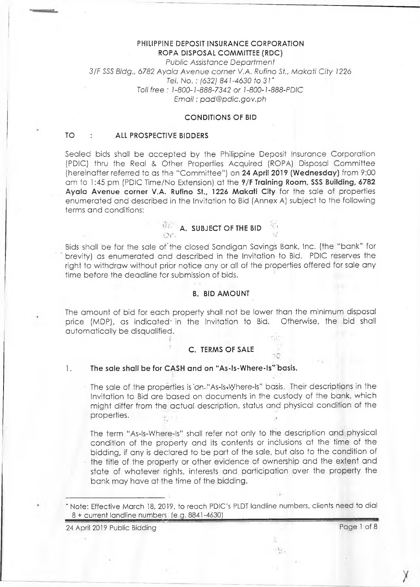### **PHILIPPINE DEPOSIT INSURANCE CORPORATION ROPA DISPOSAL COMMITTEE (RDC)**

*Public Assistance Department 3IF* SSS *Bldg., 6782 Ayala Avenue corner V.A. Rufino St., Makati City 1226 Tel. No. : (632) 841-4630 to 31* \* *Toll free : 1-800-1-888-7342 or 1-800-1 -888-PDIC Em ail: [pad@pdic.gov.ph](mailto:pad@pdic.gov.ph)*

### **CONDITIONS OF BID**

### **TO : ALL PROSPECTIVE BIDDERS**

Sealed bids shall be accepted by the Philippine Deposit Insurance Corporation (PDIC) thru the Real & Other Properties Acquired (ROPA) Disposal Committee (hereinafter referred to as the "Committee") on **24 April 2019 (Wednesday)** from 9:00 am fo 1:45 pm (PDIC Time/No Extension) at the **9/F Training Room, SSS Building, 6782 Ayala Avenue corner V.A. Rufino St., 1226 Makati City** for the sale of properties enumerated and described in the Invitation to Bid (Annex A) subject to the following terms and conditions:

#### **A. SUBJECT OF THE BID** .Or'. 'M'

Bids shall be for the sale of'the closed Sandigan Savings Bank, Inc. (the "bank" for brevity) as enumerated and described in the Invitation to Bid. PDIC reserves the right to withdraw without prior notice any or all of the properties offered for sale any time before the deadline for submission of bids.

### **B. BID AMOUNT**

The amount of bid for each property shall not be lower than the minimum disposal price (MDP), as indicated in the Invitation to Bid. Otherwise, the bid shall price (MDP), as indicated in the Invitation to Bid. automatically be disqualified.

## **C. TERMS OF SALE**

### **1. The sale shall be for CASH and on "As-ls-Where-ls" basis.**

The sale of the properties is on "As-Is-Where-Is" basis. Their descriptions in the Invitation to Bid are based on documents in the custody of the bank, which might differ from fhe actual description, status and physical condition of the properties.

The term "As-ls-Where-ls" shall refer not only to the description and physical condition of the property and its contents or inclusions at the time of the bidding, if any is declared to be part of the sale, but also to the condition of • the title of the property or other evidence of ownership and the extent and state of whatever rights, interests and participation over the property the bank may have at the time of the bidding.

Note: Effective March 18, 2019, to reach PDIC's PLDT landline numbers, clients need to dial 8 + current landline numbers (e.g. 8841-4630)

24 April 2019 Public Bidding Page 1 of 8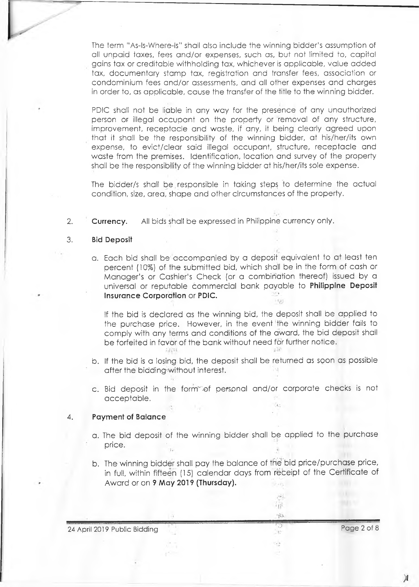The term "As-ls-Where-ls" shall also include the winning bidder's assumption of all unpaid taxes, fees and/or expenses, such as, but not limited to, capital gains tax or creditable withholding tax, whichever is applicable, value added tax, documentary stamp tax, registration and transfer fees, association or condominium fees and/or assessments, and all other expenses and charges in order to, as applicable, cause the transfer of the title to the winning bidder.

PDIC shall not be liable in any way for the presence of any unauthorized person or illegal occupant on the property or removal of any structure, improvement, receptacle and waste, if any, it being clearly agreed upon that it shall be the responsibility of the winning bidder, at his/her/its own expense, to evict/clear said illegal occupant, structure, receptacle and waste from the premises. Identification, location and survey of the property shall be the responsibility of the winning bidder at his/her/its sole expense.

The bidder/s shall be, responsible in taking steps to determine the actual condition, size, area, shape and other circumstances of the property.

2. **Currency.** All bids shall be expressed in Philippine currency only.

#### 3. **Bid Deposit**

a. Each bid shall be; accompanied by a deposit equivalent to at least ten percent (10%) of the submitted bid, which shall be in the form of cash or Manager's or Cashier's Check (or a combination thereof) issued by a universal or reputable commercial bank payable to **Philippine Deposit Insurance Corporation** or PDIC.

If the bid is declared as the winning bid, the deposit shall be applied to the purchase price. However, in the event'the winning bidder fails to comply with any terms and conditions of the award, the bid deposit shall be forfeited in favor of the bank without need for further notice. 1921

- b. If the bid is a losing bid, the deposit shall be returned as soon as possible after the bidding-without interest.
- c. Bid deposit in the form"-of personal and/or corporate checks is not acceptable.

#### 4. **Payment of Balance**

- a. The bid deposit of the winning bidder shall be applied to the purchase price.
- b. The winning bidder shall pay the balance of tfie bid price/purchase price, in full, within fifteen (15) calendar days from receipt of the Certificate of Award or on **9 May 2019 (Thursday).**

| 24 April 2019 Public Bidding |  | Page 2 of 8 |
|------------------------------|--|-------------|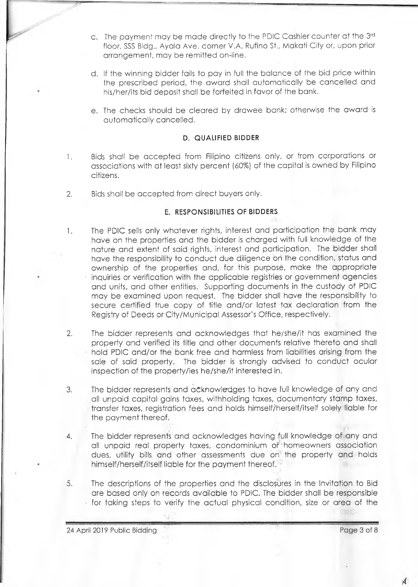- c. The payment may be made directly to the PDIC Cashier counter at the 3rd floor, SSS Bldg., Ayala Ave. corner V.A. Rufino St., Makati City or, upon prior arrangement, may be remitted on-line.
- d. If the winning bidder fails to pay in full the balance of fhe bid price within the prescribed period, the award shall automatically be cancelled and his/her/its bid deposit shall be forfeited in favor of the bank.
- e. The checks should be cleared by drawee bank; otherwise the award is automatically cancelled.

### **D. QUALIFIED BIDDER**

- 1. Bids shall be accepted from Filipino citizens only, or from corporations or associations with at least sixty percent (60%) of the capital is owned by Filipino citizens.
- 2. Bids shall be accepted from direct buyers only.

### **E. RESPONSIBILITIES OF BIDDERS**

- 1. The PDIC sells only whatever rights, interest and participation the bank may have on the properties and the bidder is charged with full knowledge of the nature and extent of said rights, interest and participation. The bidder shall have the responsibility to conduct due diligence on the condition, status and ownership of the properties and, for this purpose, make the appropriate inquiries or verification with the applicable registries or government agencies and units, and other entities. Supporting documents in the custody of PDIC may be examined upon request. The bidder shall' have the responsibility to secure certified true copy of title and/or latest tax declaration from the Registry of Deeds or City/Municipal Assessor's Office, respectively.
- 2. The bidder represents and acknowledges that he/she/it has examined the property and verified' its title and other documents relative thereto and shall • hold PDIC and/or the' bank free and harmless from liabilities arising from the sale of said property. The bidder is strongly advised to conduct ocular inspection of the property/ies he/she/it interested in.
- 3. The bidder represents and acknowledges to have full knowledge of any and all unpaid capital gains taxes, withholding taxes, documentary stamp taxes, transfer taxes, registration fees and holds himself/herself/itself solely liable for the payment thereof.
- 4. The bidder represents and acknowledges having full knowledge of any and all unpaid real property taxes, condominium or homeowners association dues, utility bills and other assessments due on the property and holds himself/herself/itself liable for the payment thereof.
- 5. The descriptions of the properties and the disclosures in the Invitation to Bid are based only on records available to PDIC. The bidder shall be responsible  $\cdot$  for taking steps to verify the actual physical condition, size or area of the

24 April 2019 Public Bidding Page 3 of 8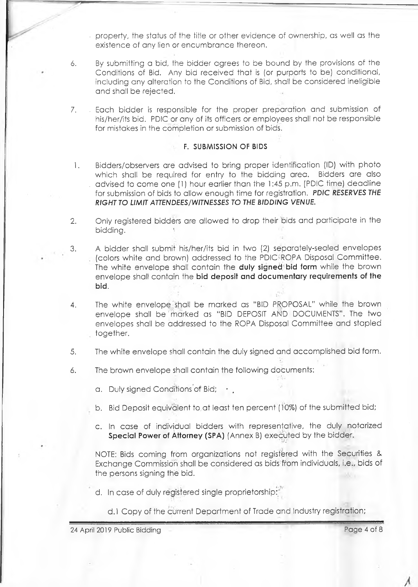property, the status of the title or other evidence of ownership, as well as the existence of any lien or encumbrance thereon.

- 6. By submitting a bid, the bidder agrees to be bound by the provisions of the Conditions of Bid. Any bid received that is (or purports to be) conditional, including any alteration to the Conditions of Bid, shall be considered ineligible and shall be rejected.
- 7. . Each bidder is responsible for the proper preparation and submission of his/her/its bid. PDIC or any of its officers or employees shall not be responsible for mistakes in the completion or submission of bids.

### **F. SUBAAISSiON OF BIDS**

- 1. Bidders/observers are advised to bring proper identification (ID) with photo which shall be required for entry to the bidding area. Bidders are also . advised to come one (1) hour earlier than the 1:45 p.m. (PDIC time) deadline for submission of bids to allow enough time for registration. *PDIC RESERVES THE RIGHT TO LIMIT ATTENDEES/WITNESSES TO THE BIDDING VENUE.*
- 2. Only registered bidders are allowed to drop their bids and participate in the bidding.
- 3. A bidder shall submit his/her/its bid in two (2) separately-sealed envelopes (colors white and brown) addressed to the PDIC-ROPA Disposal Committee. The white envelope shall contain the **duly signed bid form** while the brown envelope shall contain the **bid deposit and documentary requirements of the bid.**
- 4. The white envelope.shall be marked as "BID PROPOSAL" while the brown envelope shall be marked as "BID DEPOSIT AND DOCUMENTS". The two envelopes shall be addressed to the ROPA Disposal Committee and stapled together.
- 5. The white envelope shall contain the duly signed and accomplished bid form.
- 6. The brown envelope shall contain the following documents:

a. Duly signed Conditions of Bid;

- b. Bid Deposit equivalent to at least ten percent (10%) of the submitted bid;
- c. In case of individual bidders with representative, the duly notarized Special Power of Attorney (SPA) (Annex B) executed by the bidder.

NOTE: Bids coming from organizations not registered with the Securities & Exchange Commission shall be considered as bids from individuals, i.e., bids of the persons signing the bid.

- d. In case of duly registered single proprietorship:''
	- d.l Copy of the current Department of Trade and Industry registration;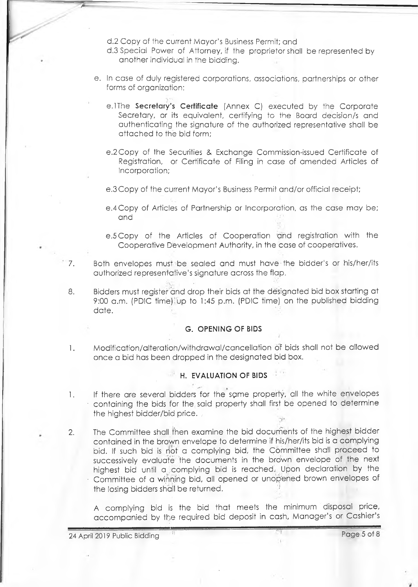d.2 Copy of the current Mayor's Business Permit; and

- d. 3 Special Power of Attorney, if the proprietor shall be represented by another individual in the bidding.
- e. In case of duly registered corporations, associations, partnerships or other forms of organization:
	- e. lThe **Secretary's Certificate** (Annex C) executed by the Corporate Secretary, or its equivalent, certifying to the Board decision/s and authenticating the signature of the authorized representative shall be attached to the bid form;
	- e.2Copy of the Securities & Exchange Commission-issued Certificate of Registration, or Certificate of Filing in case of amended Articles of Incorporation;
	- e.3 Copy of the current Mayor's Business Permit and/or official receipt;
	- e.4 Copy of Articles of Partnership or Incorporation, as the case may be; and
	- e.5 Copy of the Articles of Cooperation and registration with the Cooperative Development Authority, in the case of cooperatives.
- 7. Both envelopes must be sealed and must have the bidder's or his/her/its authorized representative's signature across the flap.
- 8. Bidders must register and drop their bids at the designated bid box starting at 9:00 a.m. (PDIC time) up to 1:45 p.m. (PDIC time) on the published bidding date.

## **G. OPENING OF BIDS**

1. Modification/alteratioh/withdrawal/cancellation of bids shall not be allowed once a bid has been dropped in the designated bid box.

# **H. EVALUATION OF BIDS**

- 1. If there are several bidders for the same property, all the white envelopes • containing the bids for the said property shall first be opened to determine the highest bidder/bid price. .
- 2. The Committee shall then examine the bid documents of the highest bidder contained in the brown envelope to determine if his/her/its bid is a complying bid. If such bid is riot a complying bid, the Committee shall proceed to successively evaluate the documents in the brown envelope of the next highest bid until a complying bid is reached. Upon declaration by the • Committee of a winning bid, all opened or unopened brown envelopes of the losing bidders shall be returned.

A complying bid is the bid that meets the minimum disposal price, accompanied by the required bid deposit in cash, Manager's or Cashier's

24 April 2019 Public Bidding Page 5 of 8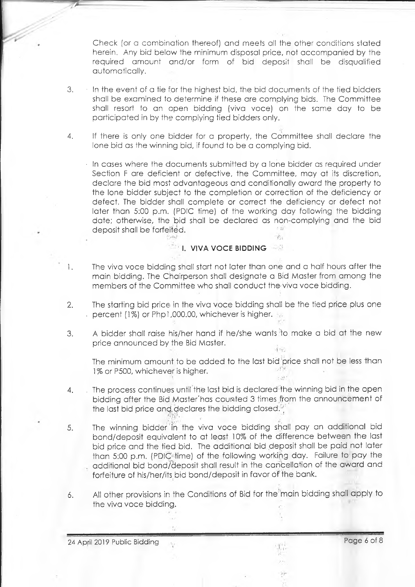Check (or a combination thereof) and meets all. the other conditions stated herein. Any bid below the minimum disposal price,, not accompanied by the required amount and/or form of bid deposit shall be disqualified automatically.

- 3. In the event of a tie for the highest bid, the bid documents of the tied bidders shall be examined to determine if these are complying bids. The Committee shall resort to an open bidding (viva voce) on the same day to be participated in by the complying tied bidders only.
- 4. If there is only one bidder for a property, the Committee shall declare the lone bid as the winning bid, if found to be a complying bid.

In cases where the documents submitted by a lone bidder as required under Section F are deficient or defective, the Committee, may at its discretion, declare the bid most advantageous and conditionally award the property to the lone bidder subject to the completion or correction of the deficiency or defect. The bidder shall complete or correct the deficiency or defect not later than 5:00 p.m. (PDIC time) of the working day following the bidding date; otherwise, the bid shall be declared as non-complying and the bid deposit shall be forfeited.  $5.556$ 

## **I. VIVA VOCE BIDDING**

 $\frac{\partial^2}{\partial x^2}$  .

**Points!** 

- 1. The viva voce bidding shall start not later than one and a half hours after the main bidding. The Chairperson shall designate a Bid Master from among the members of the Committee who shall conduct the-viva voce bidding.
- 2. The starting bid price in the viva voce bidding shall be the tied price plus one percent (1%) or Php1,000.00, whichever is higher.
- 3. A bidder shall raise his/her hand if he/she wants'to make a bid at the new price announced by the Bid Master. 市田

The minimum amount to be added to the last bid price shall not be less than 1% or P500, whichever is higher.  $-17M$  $\lesssim \frac{5\pi}{6\pi}$  .

- 4. . The process continues until the last bid is declared'the winning bid in the open bidding after the Bid Master'has counted 3 times from the announcement of the last bid price and declares the bidding closed.
- 5. The winning bidder in the viva voce bidding shall pay an additional bid bond/deposit equivalent to at least 10% of the difference between the last bid price and the tied bid. The additional bid deposit shall be paid not later than 5:00 p.m. (PDIC-time) of the following working day. Failure to pay the additional bid bond/deposit shall result in the cancellation of the award and forfeiture of his/her/its bid bond/deposit in favor of the bank.
- 6. All other provisions in the Conditions of Bid for the main bidding shall apply to the viva voce bidding.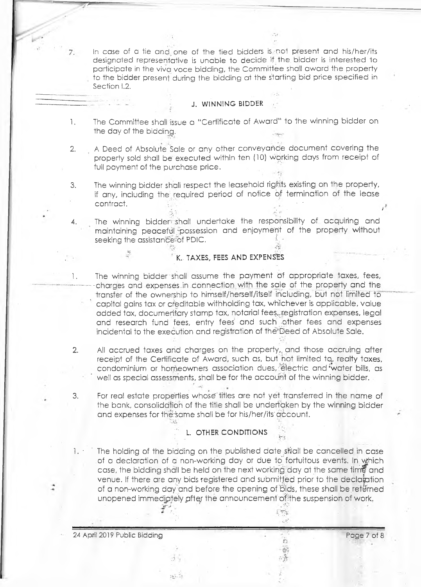in case of a tie and one of the tied bidders is not present and his/her/its designated representative is unable to decide if the, bidder is interested to participate in the viva voce bidding, the Committee shall award the property to the bidder present during the bidding at the starting bid price specified in Section 1.2.

#### **J. WINNING BIDDER**

1. The Committee shall issue a "Certificate of Award" to the winning bidder on the day of the bidding.

2. A Deed of Absolute Sale or any other conveyance document covering the property sold shall be executed within ten (10) working days from receipt of full payment of the purchase price.

3. The winning bidder shall respect the leasehold rights existing on the property, if any, including the required period of notice of termination of the lease contract. • *j*

4. The winning bidder-shall undertake the responsibility of acquiring and maintaining peaceful possession and enjoyment of the property without seeking the assistance-of PDIC.

#### **\* : K.. TAXES, FEES AND EXPENSES**

- 1. The winning bidder shall assume the payment of appropriate taxes, fees, charges and expenses in connection with the sale of the property and the transfer of the ownership to himself/herself/itself including, but not limited to ' capital gains tax or creditable withholding tax, whichever is applicable, value added tax, documentary stamp tax, notarial fees,.registration expenses, legal and research fund fees, entry fees and such .other fees and expenses incidental to the execution and registration of the Deed of Absolute Sale.
- 2. All accrued taxes and charges on the property,, and those accruing after receipt of the Certificate of Award, such as, but hot limited fa, realty taxes, condominium or homeowners association dues, electric and water bills, as well as special assessments, shall be for the account of the winning bidder.
- 3. For real estate properties whose'titles are not yet transferred in the name of the bank, consolidation of the title shall be undertaken by the winning bidder and expenses for the same shall be for his/her/its account.

### **L. OTHER CONDITIONS**

1. • The holding of the bidding on the published date shall be cancelled in case of a declaration of a' non-working day or due to fortuitous events. In Which case, the bidding shall be held on the next working day at the same time and venue. If there are any bids registered and submitted prior to the declaintion of a non-working day and before the opening of bids, these shall be returned unopened immediately after the announcement of the suspension of work,

> $\mathcal{E}^{\text{unif}}$  $\mathbb{R}^2$

> > ë, 准

24 April 2019 Public Bidding Page 7 of 8

 $16 - 71$